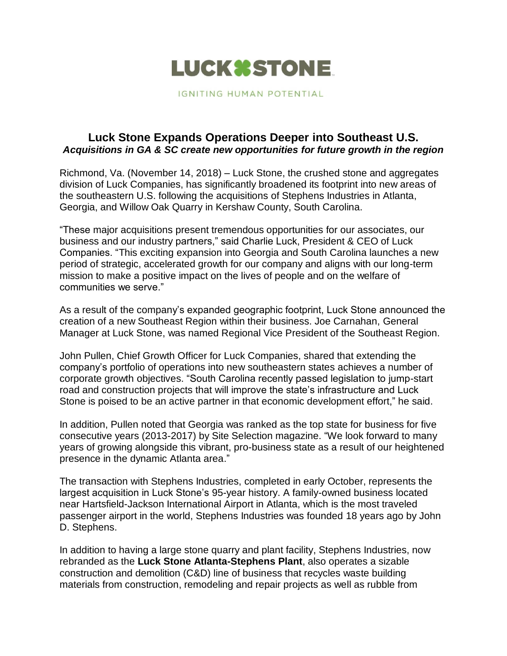

IGNITING HUMAN POTENTIAL

## **Luck Stone Expands Operations Deeper into Southeast U.S.**  *Acquisitions in GA & SC create new opportunities for future growth in the region*

Richmond, Va. (November 14, 2018) – Luck Stone, the crushed stone and aggregates division of Luck Companies, has significantly broadened its footprint into new areas of the southeastern U.S. following the acquisitions of Stephens Industries in Atlanta, Georgia, and Willow Oak Quarry in Kershaw County, South Carolina.

"These major acquisitions present tremendous opportunities for our associates, our business and our industry partners," said Charlie Luck, President & CEO of Luck Companies. "This exciting expansion into Georgia and South Carolina launches a new period of strategic, accelerated growth for our company and aligns with our long-term mission to make a positive impact on the lives of people and on the welfare of communities we serve."

As a result of the company's expanded geographic footprint, Luck Stone announced the creation of a new Southeast Region within their business. Joe Carnahan, General Manager at Luck Stone, was named Regional Vice President of the Southeast Region.

John Pullen, Chief Growth Officer for Luck Companies, shared that extending the company's portfolio of operations into new southeastern states achieves a number of corporate growth objectives. "South Carolina recently passed legislation to jump-start road and construction projects that will improve the state's infrastructure and Luck Stone is poised to be an active partner in that economic development effort," he said.

In addition, Pullen noted that Georgia was ranked as the top state for business for five consecutive years (2013-2017) by Site Selection magazine. "We look forward to many years of growing alongside this vibrant, pro-business state as a result of our heightened presence in the dynamic Atlanta area."

The transaction with Stephens Industries, completed in early October, represents the largest acquisition in Luck Stone's 95-year history. A family-owned business located near Hartsfield-Jackson International Airport in Atlanta, which is the most traveled passenger airport in the world, Stephens Industries was founded 18 years ago by John D. Stephens.

In addition to having a large stone quarry and plant facility, Stephens Industries, now rebranded as the **Luck Stone Atlanta-Stephens Plant**, also operates a sizable construction and demolition (C&D) line of business that recycles waste building materials from construction, remodeling and repair projects as well as rubble from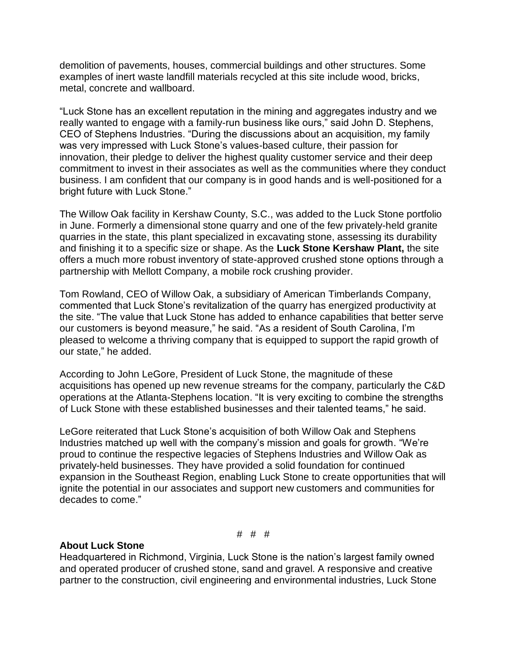demolition of pavements, houses, commercial buildings and other structures. Some examples of inert waste landfill materials recycled at this site include wood, bricks, metal, concrete and wallboard.

"Luck Stone has an excellent reputation in the mining and aggregates industry and we really wanted to engage with a family-run business like ours," said John D. Stephens, CEO of Stephens Industries. "During the discussions about an acquisition, my family was very impressed with Luck Stone's values-based culture, their passion for innovation, their pledge to deliver the highest quality customer service and their deep commitment to invest in their associates as well as the communities where they conduct business. I am confident that our company is in good hands and is well-positioned for a bright future with Luck Stone."

The Willow Oak facility in Kershaw County, S.C., was added to the Luck Stone portfolio in June. Formerly a dimensional stone quarry and one of the few privately-held granite quarries in the state, this plant specialized in excavating stone, assessing its durability and finishing it to a specific size or shape. As the **Luck Stone Kershaw Plant,** the site offers a much more robust inventory of state-approved crushed stone options through a partnership with Mellott Company, a mobile rock crushing provider.

Tom Rowland, CEO of Willow Oak, a subsidiary of American Timberlands Company, commented that Luck Stone's revitalization of the quarry has energized productivity at the site. "The value that Luck Stone has added to enhance capabilities that better serve our customers is beyond measure," he said. "As a resident of South Carolina, I'm pleased to welcome a thriving company that is equipped to support the rapid growth of our state," he added.

According to John LeGore, President of Luck Stone, the magnitude of these acquisitions has opened up new revenue streams for the company, particularly the C&D operations at the Atlanta-Stephens location. "It is very exciting to combine the strengths of Luck Stone with these established businesses and their talented teams," he said.

LeGore reiterated that Luck Stone's acquisition of both Willow Oak and Stephens Industries matched up well with the company's mission and goals for growth. "We're proud to continue the respective legacies of Stephens Industries and Willow Oak as privately-held businesses. They have provided a solid foundation for continued expansion in the Southeast Region, enabling Luck Stone to create opportunities that will ignite the potential in our associates and support new customers and communities for decades to come."

# # #

## **About Luck Stone**

Headquartered in Richmond, Virginia, Luck Stone is the nation's largest family owned and operated producer of crushed stone, sand and gravel. A responsive and creative partner to the construction, civil engineering and environmental industries, Luck Stone